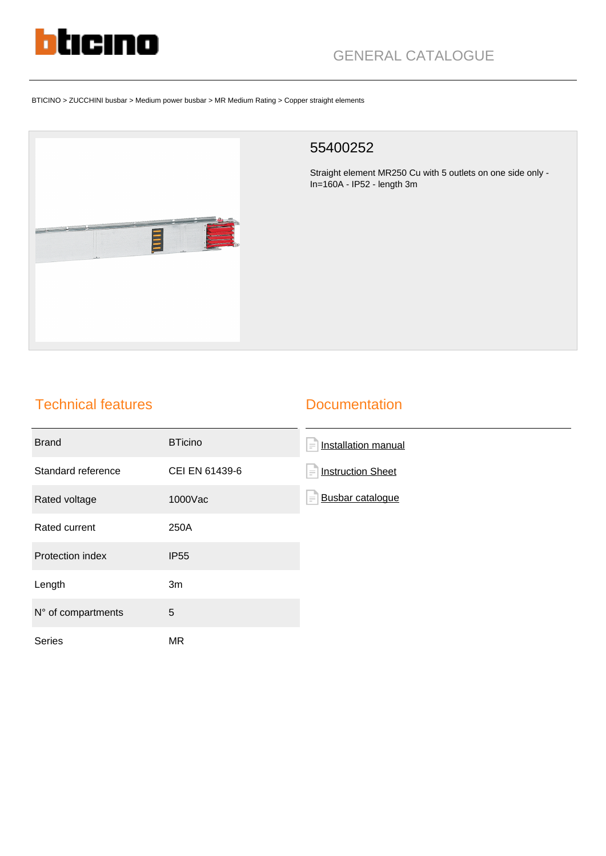

# GENERAL CATALOGUE

#### BTICINO > ZUCCHINI busbar > Medium power busbar > MR Medium Rating > Copper straight elements



### 55400252

Straight element MR250 Cu with 5 outlets on one side only - In=160A - IP52 - length 3m

## Technical features

#### **Documentation**

| <b>Brand</b>       | <b>BTicino</b> | Installation manual<br>$\equiv$      |
|--------------------|----------------|--------------------------------------|
| Standard reference | CEI EN 61439-6 | <b>Instruction Sheet</b><br>$\equiv$ |
| Rated voltage      | 1000Vac        | Busbar catalogue<br>$\equiv$         |
| Rated current      | 250A           |                                      |
| Protection index   | <b>IP55</b>    |                                      |
| Length             | 3m             |                                      |
| N° of compartments | 5              |                                      |
| Series             | MR             |                                      |